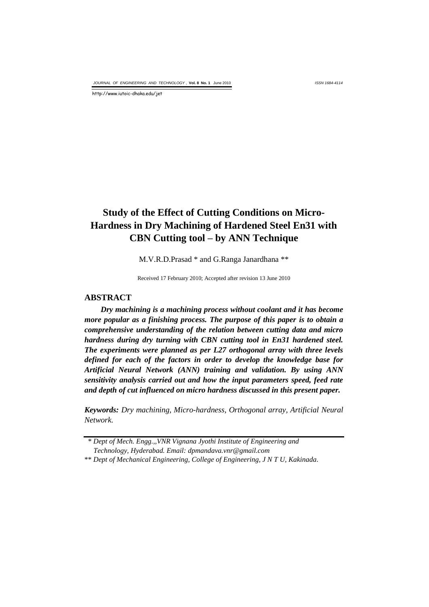*ISSN 1684-4114*

http://www.iutoic-dhaka.edu/jet

# **Study of the Effect of Cutting Conditions on Micro-Hardness in Dry Machining of Hardened Steel En31 with CBN Cutting tool – by ANN Technique**

M.V.R.D.Prasad \* and G.Ranga Janardhana \*\*

Received 17 February 2010; Accepted after revision 13 June 2010

#### **ABSTRACT**

*Dry machining is a machining process without coolant and it has become more popular as a finishing process. The purpose of this paper is to obtain a comprehensive understanding of the relation between cutting data and micro hardness during dry turning with CBN cutting tool in En31 hardened steel. The experiments were planned as per L27 orthogonal array with three levels defined for each of the factors in order to develop the knowledge base for Artificial Neural Network (ANN) training and validation. By using ANN sensitivity analysis carried out and how the input parameters speed, feed rate and depth of cut influenced on micro hardness discussed in this present paper.*

*Keywords: Dry machining, Micro-hardness, Orthogonal array, Artificial Neural Network.*

 <sup>\*</sup> *Dept of Mech. Engg.,,VNR Vignana Jyothi Institute of Engineering and Technology, Hyderabad. Email: dpmandava.vnr@gmail.com*

<sup>\*\*</sup> *Dept of Mechanical Engineering, College of Engineering, J N T U, Kakinada.*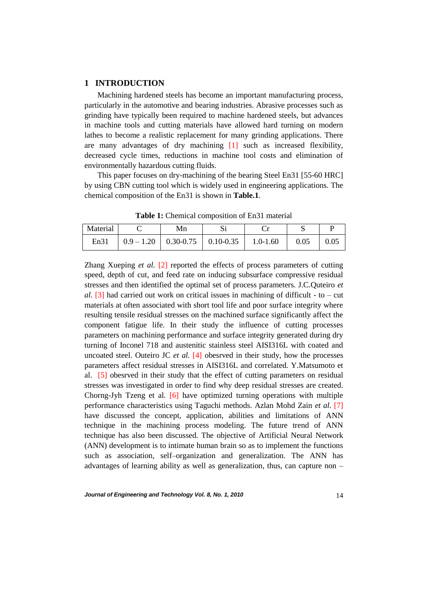## **1 INTRODUCTION**

Machining hardened steels has become an important manufacturing process, particularly in the automotive and bearing industries. Abrasive processes such as grinding have typically been required to machine hardened steels, but advances in machine tools and cutting materials have allowed hard turning on modern lathes to become a realistic replacement for many grinding applications. There are many advantages of dry machining [1] such as increased flexibility, decreased cycle times, reductions in machine tool costs and elimination of environmentally hazardous cutting fluids.

This paper focuses on dry-machining of the bearing Steel En31 [55-60 HRC] by using CBN cutting tool which is widely used in engineering applications. The chemical composition of the En31 is shown in **Table.1**.

| Material | Mn |                                                        |  |      |
|----------|----|--------------------------------------------------------|--|------|
| En31     |    | $0.9 - 1.20$   0.30-0.75   0.10-0.35   1.0-1.60   0.05 |  | 0.05 |

**Table 1:** Chemical composition of En31 material

Zhang Xueping *et al.* [2] reported the effects of process parameters of cutting speed, depth of cut, and feed rate on inducing subsurface compressive residual stresses and then identified the optimal set of process parameters. J.C.Quteiro *et al.*  $[3]$  had carried out work on critical issues in machining of difficult - to – cut materials at often associated with short tool life and poor surface integrity where resulting tensile residual stresses on the machined surface significantly affect the component fatigue life. In their study the influence of cutting processes parameters on machining performance and surface integrity generated during dry turning of Inconel 718 and austenitic stainless steel AISI316L with coated and uncoated steel. Outeiro JC *et al.* [4] obesrved in their study, how the processes parameters affect residual stresses in AISI316L and correlated. Y.Matsumoto et al. [5] obesrved in their study that the effect of cutting parameters on residual stresses was investigated in order to find why deep residual stresses are created. Chorng-Jyh Tzeng et al*.* [6] have optimized turning operations with multiple performance characteristics using Taguchi methods. Azlan Mohd Zain *et al.* [7] have discussed the concept, application, abilities and limitations of ANN technique in the machining process modeling. The future trend of ANN technique has also been discussed. The objective of Artificial Neural Network (ANN) development is to intimate human brain so as to implement the functions such as association, self–organization and generalization. The ANN has advantages of learning ability as well as generalization, thus, can capture non –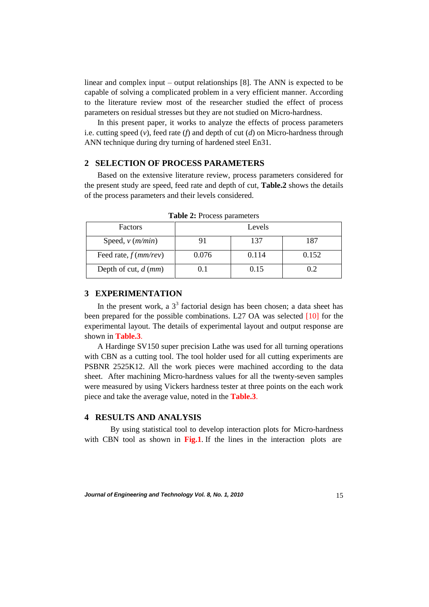linear and complex input – output relationships [8]. The ANN is expected to be capable of solving a complicated problem in a very efficient manner. According to the literature review most of the researcher studied the effect of process parameters on residual stresses but they are not studied on Micro-hardness.

In this present paper, it works to analyze the effects of process parameters i.e. cutting speed (*v*), feed rate (*f*) and depth of cut (*d*) on Micro-hardness through ANN technique during dry turning of hardened steel En31.

## **2 SELECTION OF PROCESS PARAMETERS**

Based on the extensive literature review, process parameters considered for the present study are speed, feed rate and depth of cut, **Table.2** shows the details of the process parameters and their levels considered.

| <b>Factors</b>              |              | Levels |       |  |  |
|-----------------------------|--------------|--------|-------|--|--|
| Speed, $v$ ( <i>m/min</i> ) |              | 137    | 187   |  |  |
| Feed rate, $f$ ( $mm/rev$ ) | 0.076        | 0.114  | 0.152 |  |  |
| Depth of cut, $d$ (mm)      | $\mathbf{L}$ | 0.15   | 0.2   |  |  |

**Table 2:** Process parameters

## **3 EXPERIMENTATION**

In the present work, a  $3<sup>3</sup>$  factorial design has been chosen; a data sheet has been prepared for the possible combinations. L27 OA was selected [10] for the experimental layout. The details of experimental layout and output response are shown in **Table.3**.

A Hardinge SV150 super precision Lathe was used for all turning operations with CBN as a cutting tool. The tool holder used for all cutting experiments are PSBNR 2525K12. All the work pieces were machined according to the data sheet. After machining Micro-hardness values for all the twenty-seven samples were measured by using Vickers hardness tester at three points on the each work piece and take the average value, noted in the **Table.3**.

### **4 RESULTS AND ANALYSIS**

By using statistical tool to develop interaction plots for Micro-hardness with CBN tool as shown in **Fig.1**. If the lines in the interaction plots are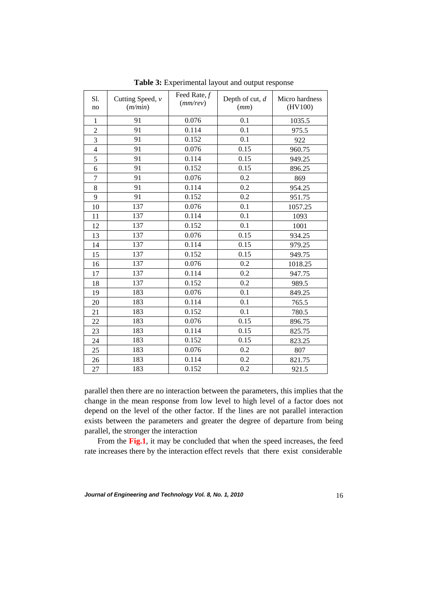| Sl.<br>no      | Cutting Speed, $\nu$<br>(m/min) | Feed Rate, $f$<br>(mm/rev) | Depth of cut, $d$<br>(mm) | Micro hardness<br>(HV100) |
|----------------|---------------------------------|----------------------------|---------------------------|---------------------------|
| $\mathbf{1}$   | 91                              | 0.076                      | 0.1                       | 1035.5                    |
| $\overline{2}$ | 91                              | 0.114                      | 0.1                       | 975.5                     |
| 3              | 91                              | 0.152                      | 0.1                       | 922                       |
| $\overline{4}$ | 91                              | 0.076                      | 0.15                      | 960.75                    |
| 5              | 91                              | 0.114                      | 0.15                      | 949.25                    |
| 6              | 91                              | 0.152                      | 0.15                      | 896.25                    |
| $\overline{7}$ | 91                              | 0.076                      | 0.2                       | 869                       |
| 8              | 91                              | 0.114                      | 0.2                       | 954.25                    |
| 9              | 91                              | 0.152                      | 0.2                       | 951.75                    |
| 10             | 137                             | 0.076                      | 0.1                       | 1057.25                   |
| 11             | 137                             | 0.114                      | 0.1                       | 1093                      |
| 12             | 137                             | 0.152                      | 0.1                       | 1001                      |
| 13             | 137                             | 0.076                      | 0.15                      | 934.25                    |
| 14             | 137                             | 0.114                      | 0.15                      | 979.25                    |
| 15             | 137                             | 0.152                      | 0.15                      | 949.75                    |
| 16             | 137                             | 0.076                      | 0.2                       | 1018.25                   |
| 17             | 137                             | 0.114                      | 0.2                       | 947.75                    |
| 18             | 137                             | 0.152                      | 0.2                       | 989.5                     |
| 19             | 183                             | 0.076                      | 0.1                       | 849.25                    |
| 20             | 183                             | 0.114                      | 0.1                       | 765.5                     |
| 21             | 183                             | 0.152                      | 0.1                       | 780.5                     |
| 22             | 183                             | 0.076                      | 0.15                      | 896.75                    |
| 23             | 183                             | 0.114                      | 0.15                      | 825.75                    |
| 24             | 183                             | 0.152                      | 0.15                      | 823.25                    |
| 25             | 183                             | 0.076                      | 0.2                       | 807                       |
| 26             | 183                             | 0.114                      | 0.2                       | 821.75                    |
| 27             | 183                             | 0.152                      | 0.2                       | 921.5                     |

**Table 3:** Experimental layout and output response

parallel then there are no interaction between the parameters, this implies that the change in the mean response from low level to high level of a factor does not depend on the level of the other factor. If the lines are not parallel interaction exists between the parameters and greater the degree of departure from being parallel, the stronger the interaction

From the **Fig.1**, it may be concluded that when the speed increases, the feed rate increases there by the interaction effect revels that there exist considerable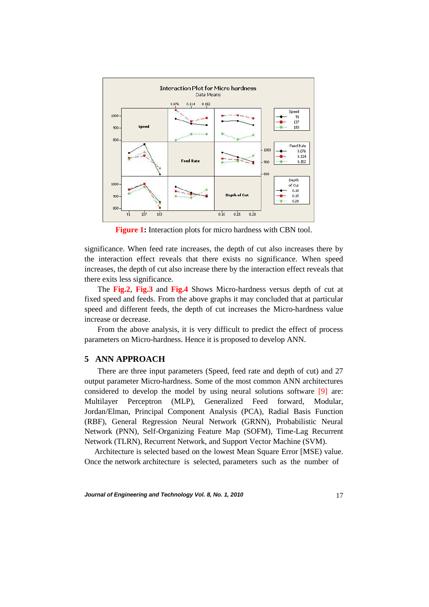

**Figure 1:** Interaction plots for micro hardness with CBN tool.

significance. When feed rate increases, the depth of cut also increases there by the interaction effect reveals that there exists no significance. When speed increases, the depth of cut also increase there by the interaction effect reveals that there exits less significance.

The **Fig.2**, **Fig.3** and **Fig.4** Shows Micro-hardness versus depth of cut at fixed speed and feeds. From the above graphs it may concluded that at particular speed and different feeds, the depth of cut increases the Micro-hardness value increase or decrease.

From the above analysis, it is very difficult to predict the effect of process parameters on Micro-hardness. Hence it is proposed to develop ANN.

#### **5 ANN APPROACH**

There are three input parameters (Speed, feed rate and depth of cut) and 27 output parameter Micro-hardness. Some of the most common ANN architectures considered to develop the model by using neural solutions software [9] are: Multilayer Perceptron (MLP), Generalized Feed forward, Modular, Jordan/Elman, Principal Component Analysis (PCA), Radial Basis Function (RBF), General Regression Neural Network (GRNN), Probabilistic Neural Network (PNN), Self-Organizing Feature Map (SOFM), Time-Lag Recurrent Network (TLRN), Recurrent Network, and Support Vector Machine (SVM).

 Architecture is selected based on the lowest Mean Square Error [MSE) value. Once the network architecture is selected, parameters such as the number of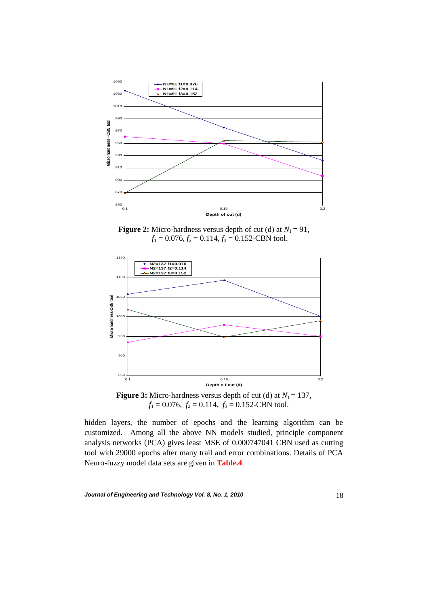

**Figure 2:** Micro-hardness versus depth of cut (d) at  $N_1 = 91$ ,  $f_1 = 0.076$ ,  $f_2 = 0.114$ ,  $f_3 = 0.152$ -CBN tool.



 $f_1 = 0.076$ ,  $f_2 = 0.114$ ,  $f_3 = 0.152$ -CBN tool.

hidden layers, the number of epochs and the learning algorithm can be customized. Among all the above NN models studied, principle component analysis networks (PCA) gives least MSE of 0.000747041 CBN used as cutting tool with 29000 epochs after many trail and error combinations. Details of PCA Neuro-fuzzy model data sets are given in **Table.4**.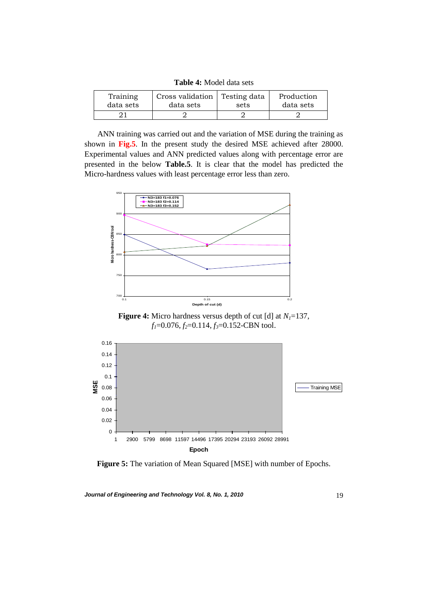**Table 4:** Model data sets

| Training  | Cross validation   Testing data | sets | Production |
|-----------|---------------------------------|------|------------|
| data sets | data sets                       |      | data sets  |
|           |                                 |      |            |

ANN training was carried out and the variation of MSE during the training as shown in **Fig.5**. In the present study the desired MSE achieved after 28000. Experimental values and ANN predicted values along with percentage error are presented in the below **Table.5**. It is clear that the model has predicted the Micro-hardness values with least percentage error less than zero.



**Figure 4:** Micro hardness versus depth of cut [d] at *N1*=137,  $f_1$ =0.076,  $f_2$ =0.114,  $f_3$ =0.152-CBN tool.



**Figure 5:** The variation of Mean Squared [MSE] with number of Epochs.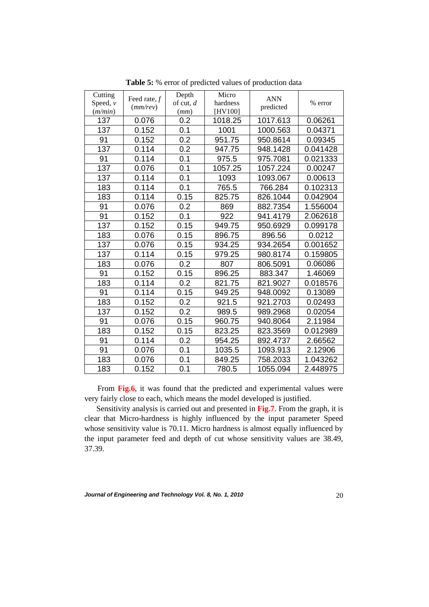| Cutting<br>Speed, $\nu$<br>(m/min) | Feed rate, $f$<br>(mm/rev) | Depth<br>of cut, $d$<br>(mm) | Micro<br>hardness<br>[HV100] | <b>ANN</b><br>predicted | % error  |
|------------------------------------|----------------------------|------------------------------|------------------------------|-------------------------|----------|
| 137                                | 0.076                      | 0.2                          | 1018.25                      | 1017.613                | 0.06261  |
| 137                                | 0.152                      | 0.1                          | 1001                         | 1000.563                | 0.04371  |
| 91                                 | 0.152                      | 0.2                          | 951.75                       | 950.8614                | 0.09345  |
| 137                                | 0.114                      | 0.2                          | 947.75                       | 948.1428                | 0.041428 |
| 91                                 | 0.114                      | 0.1                          | 975.5                        | 975.7081                | 0.021333 |
| 137                                | 0.076                      | 0.1                          | 1057.25                      | 1057.224                | 0.00247  |
| 137                                | 0.114                      | 0.1                          | 1093                         | 1093.067                | 0.00613  |
| 183                                | 0.114                      | 0.1                          | 765.5                        | 766.284                 | 0.102313 |
| 183                                | 0.114                      | 0.15                         | 825.75                       | 826.1044                | 0.042904 |
| 91                                 | 0.076                      | 0.2                          | 869                          | 882.7354                | 1.556004 |
| 91                                 | 0.152                      | 0.1                          | 922                          | 941.4179                | 2.062618 |
| 137                                | 0.152                      | 0.15                         | 949.75                       | 950.6929                | 0.099178 |
| 183                                | 0.076                      | 0.15                         | 896.75                       | 896.56                  | 0.0212   |
| 137                                | 0.076                      | 0.15                         | 934.25                       | 934.2654                | 0.001652 |
| 137                                | 0.114                      | 0.15                         | 979.25                       | 980.8174                | 0.159805 |
| 183                                | 0.076                      | 0.2                          | 807                          | 806.5091                | 0.06086  |
| 91                                 | 0.152                      | 0.15                         | 896.25                       | 883.347                 | 1.46069  |
| 183                                | 0.114                      | 0.2                          | 821.75                       | 821.9027                | 0.018576 |
| 91                                 | 0.114                      | 0.15                         | 949.25                       | 948.0092                | 0.13089  |
| 183                                | 0.152                      | 0.2                          | 921.5                        | 921.2703                | 0.02493  |
| 137                                | 0.152                      | 0.2                          | 989.5                        | 989.2968                | 0.02054  |
| 91                                 | 0.076                      | 0.15                         | 960.75                       | 940.8064                | 2.11984  |
| 183                                | 0.152                      | 0.15                         | 823.25                       | 823.3569                | 0.012989 |
| 91                                 | 0.114                      | 0.2                          | 954.25                       | 892.4737                | 2.66562  |
| 91                                 | 0.076                      | 0.1                          | 1035.5                       | 1093.913                | 2.12906  |
| 183                                | 0.076                      | 0.1                          | 849.25                       | 758.2033                | 1.043262 |
| 183                                | 0.152                      | 0.1                          | 780.5                        | 1055.094                | 2.448975 |

**Table 5:** % error of predicted values of production data

From Fig.6, it was found that the predicted and experimental values were very fairly close to each, which means the model developed is justified.

 Sensitivity analysis is carried out and presented in **Fig.7**. From the graph, it is clear that Micro-hardness is highly influenced by the input parameter Speed whose sensitivity value is 70.11. Micro hardness is almost equally influenced by the input parameter feed and depth of cut whose sensitivity values are 38.49, 37.39.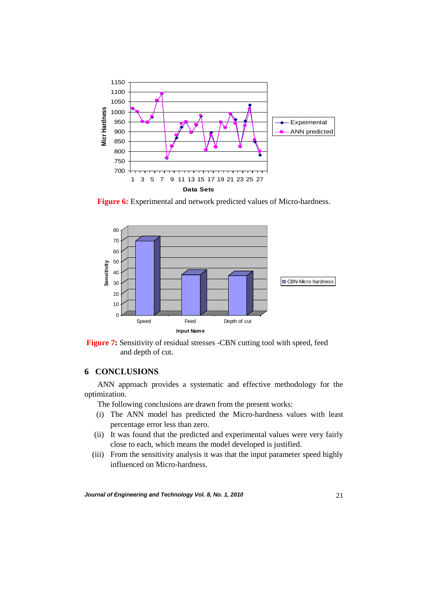

**Figure 6:** Experimental and network predicted values of Micro-hardness.





## **6 CONCLUSIONS**

ANN approach provides a systematic and effective methodology for the optimization.

The following conclusions are drawn from the present works:

- (i) The ANN model has predicted the Micro-hardness values with least percentage error less than zero.
- (ii) It was found that the predicted and experimental values were very fairly close to each, which means the model developed is justified.
- (iii) From the sensitivity analysis it was that the input parameter speed highly influenced on Micro-hardness.